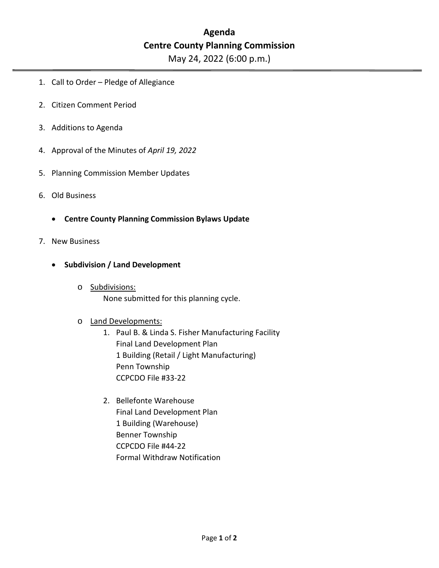## **Agenda Centre County Planning Commission**

May 24, 2022 (6:00 p.m.)

- 1. Call to Order Pledge of Allegiance
- 2. Citizen Comment Period
- 3. Additions to Agenda
- 4. Approval of the Minutes of *April 19, 2022*
- 5. Planning Commission Member Updates
- 6. Old Business
	- **Centre County Planning Commission Bylaws Update**
- 7. New Business
	- **Subdivision / Land Development**
		- o Subdivisions: None submitted for this planning cycle.

## o Land Developments:

- 1. Paul B. & Linda S. Fisher Manufacturing Facility Final Land Development Plan 1 Building (Retail / Light Manufacturing) Penn Township CCPCDO File #33-22
- 2. Bellefonte Warehouse Final Land Development Plan 1 Building (Warehouse) Benner Township CCPCDO File #44-22 Formal Withdraw Notification